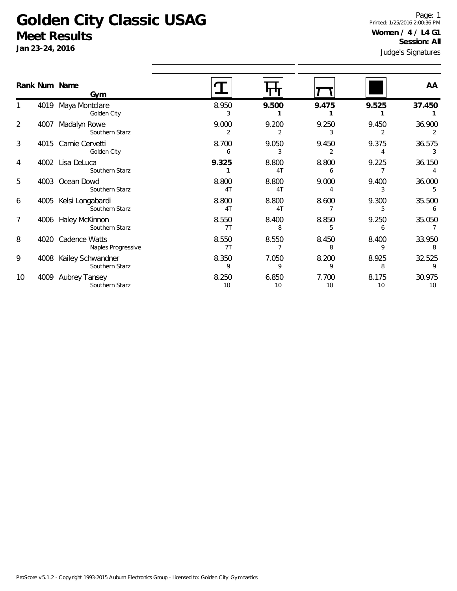## **Golden City Classic USAG Meet Results**

**Jan 23-24, 2016**

1

2

3

4

5

6

7

8

9

10

Judge's Signatures Page: 1 Printed: 1/25/2016 2:00:36 PM **Women / 4 / L4 G1 Session: All**

|    |      | Rank Num Name                       |             |                         |             |             | AA           |
|----|------|-------------------------------------|-------------|-------------------------|-------------|-------------|--------------|
|    |      | Gym                                 |             |                         |             |             |              |
|    | 4019 | Maya Montclare<br>Golden City       | 8.950       | 9.500                   | 9.475       | 9.525       | 37.450       |
| 2  | 4007 | Madalyn Rowe<br>Southern Starz      | 9.000<br>2  | 9.200<br>2              | 9.250<br>3  | 9.450<br>2  | 36.900       |
| 3  | 4015 | Camie Cervetti<br>Golden City       | 8.700<br>6  | 9.050<br>3              | 9.450<br>2  | 9.375       | 36.575       |
| 4  | 4002 | Lisa DeLuca<br>Southern Starz       | 9.325       | 8.800<br>4 <sub>T</sub> | 8.800<br>6  | 9.225       | 36.150       |
| 5  | 4003 | Ocean Dowd<br>Southern Starz        | 8.800<br>4T | 8.800<br>4T             | 9.000       | 9.400       | 36.000       |
| 6  | 4005 | Kelsi Longabardi<br>Southern Starz  | 8.800<br>4T | 8.800<br>4 <sub>T</sub> | 8.600       | 9.300<br>5  | 35.500       |
| 7  | 4006 | Haley McKinnon<br>Southern Starz    | 8.550<br>7T | 8.400<br>8              | 8.850<br>5  | 9.250<br>6  | 35.050       |
| 8  | 4020 | Cadence Watts<br>Naples Progressive | 8.550<br>7T | 8.550                   | 8.450<br>8  | 8.400<br>9  | 33.950<br>8  |
| 9  | 4008 | Kailey Schwandner<br>Southern Starz | 8.350<br>9  | 7.050<br>9              | 8.200<br>9  | 8.925<br>8  | 32.525<br>9  |
| 10 | 4009 | Aubrey Tansey<br>Southern Starz     | 8.250<br>10 | 6.850<br>10             | 7.700<br>10 | 8.175<br>10 | 30.975<br>10 |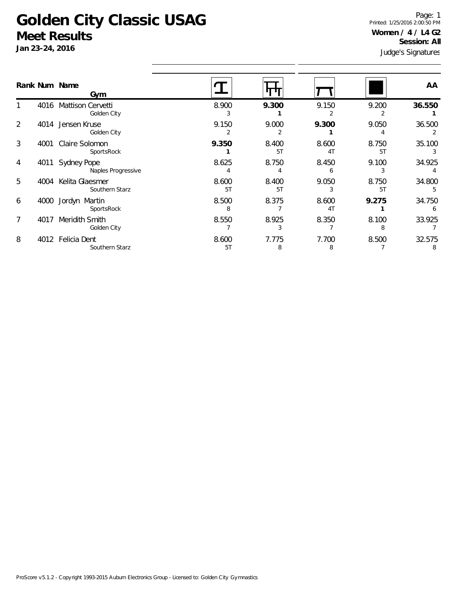## **Golden City Classic USAG Meet Results**

**Jan 23-24, 2016**

Judge's Signatures Page: 1 Printed: 1/25/2016 2:00:50 PM **Women / 4 / L4 G2 Session: All**

|   |      | Rank Num Name<br>Gym                     |             |             |             |             | AA          |  |
|---|------|------------------------------------------|-------------|-------------|-------------|-------------|-------------|--|
|   | 4016 | <b>Mattison Cervetti</b><br>Golden City  | 8.900<br>3  | 9.300       | 9.150<br>2  | 9.200<br>2  | 36.550      |  |
| 2 | 4014 | Jensen Kruse<br>Golden City              | 9.150       | 9.000       | 9.300       | 9.050       | 36.500      |  |
| 3 | 4001 | Claire Solomon<br>SportsRock             | 9.350       | 8.400<br>5T | 8.600<br>4T | 8.750<br>5T | 35.100      |  |
| 4 | 4011 | <b>Sydney Pope</b><br>Naples Progressive | 8.625       | 8.750       | 8.450<br>h  | 9.100<br>3  | 34.925      |  |
| 5 | 4004 | Kelita Glaesmer<br>Southern Starz        | 8.600<br>5T | 8.400<br>5T | 9.050       | 8.750<br>5T | 34.800<br>5 |  |
| 6 | 4000 | Jordyn Martin<br>SportsRock              | 8.500<br>8  | 8.375       | 8.600<br>4T | 9.275       | 34.750<br>6 |  |
| 7 | 4017 | Meridith Smith<br>Golden City            | 8.550       | 8.925<br>3  | 8.350       | 8.100<br>8  | 33.925      |  |
| 8 | 4012 | Felicia Dent<br>Southern Starz           | 8.600<br>5T | 7.775<br>8  | 7.700<br>8  | 8.500       | 32.575<br>8 |  |